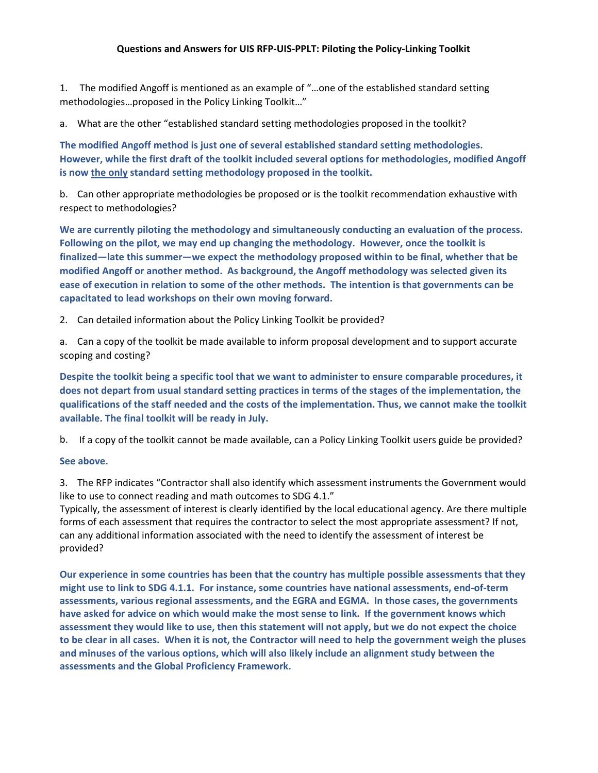1. The modified Angoff is mentioned as an example of "…one of the established standard setting methodologies…proposed in the Policy Linking Toolkit…"

a. What are the other "established standard setting methodologies proposed in the toolkit?

**The modified Angoff method is just one of several established standard setting methodologies. However, while the first draft of the toolkit included several options for methodologies, modified Angoff is now the only standard setting methodology proposed in the toolkit.** 

b. Can other appropriate methodologies be proposed or is the toolkit recommendation exhaustive with respect to methodologies?

We are currently piloting the methodology and simultaneously conducting an evaluation of the process. **Following on the pilot, we may end up changing the methodology. However, once the toolkit is finalized—late this summer—we expect the methodology proposed within to be final, whether that be modified Angoff or another method. As background, the Angoff methodology was selected given its ease of execution in relation to some of the other methods. The intention is that governments can be capacitated to lead workshops on their own moving forward.** 

2. Can detailed information about the Policy Linking Toolkit be provided?

a. Can a copy of the toolkit be made available to inform proposal development and to support accurate scoping and costing?

**Despite the toolkit being a specific tool that we want to administer to ensure comparable procedures, it does not depart from usual standard setting practices in terms of the stages of the implementation, the qualifications of the staff needed and the costs of the implementation. Thus, we cannot make the toolkit available. The final toolkit will be ready in July.**

b. If a copy of the toolkit cannot be made available, can a Policy Linking Toolkit users guide be provided?

## **See above.**

3. The RFP indicates "Contractor shall also identify which assessment instruments the Government would like to use to connect reading and math outcomes to SDG 4.1."

Typically, the assessment of interest is clearly identified by the local educational agency. Are there multiple forms of each assessment that requires the contractor to select the most appropriate assessment? If not, can any additional information associated with the need to identify the assessment of interest be provided?

**Our experience in some countries has been that the country has multiple possible assessments that they might use to link to SDG 4.1.1. For instance, some countries have national assessments, end‐of‐term assessments, various regional assessments, and the EGRA and EGMA. In those cases, the governments have asked for advice on which would make the most sense to link. If the government knows which assessment they would like to use, then this statement will not apply, but we do not expect the choice to be clear in all cases. When it is not, the Contractor will need to help the government weigh the pluses and minuses of the various options, which will also likely include an alignment study between the assessments and the Global Proficiency Framework.**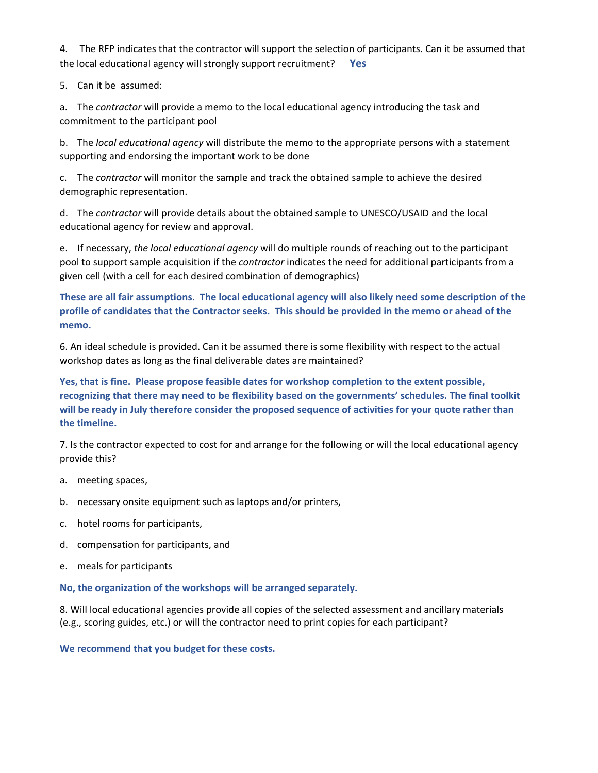4. The RFP indicates that the contractor will support the selection of participants. Can it be assumed that the local educational agency will strongly support recruitment? **Yes** 

5. Can it be assumed:

a. The *contractor* will provide a memo to the local educational agency introducing the task and commitment to the participant pool

b. The *local educational agency* will distribute the memo to the appropriate persons with a statement supporting and endorsing the important work to be done

c. The *contractor* will monitor the sample and track the obtained sample to achieve the desired demographic representation.

d. The *contractor* will provide details about the obtained sample to UNESCO/USAID and the local educational agency for review and approval.

e. If necessary, *the local educational agency* will do multiple rounds of reaching out to the participant pool to support sample acquisition if the *contractor* indicates the need for additional participants from a given cell (with a cell for each desired combination of demographics)

**These are all fair assumptions. The local educational agency will also likely need some description of the profile of candidates that the Contractor seeks. This should be provided in the memo or ahead of the memo.** 

6. An ideal schedule is provided. Can it be assumed there is some flexibility with respect to the actual workshop dates as long as the final deliverable dates are maintained?

**Yes, that is fine. Please propose feasible dates for workshop completion to the extent possible, recognizing that there may need to be flexibility based on the governments' schedules. The final toolkit will be ready in July therefore consider the proposed sequence of activities for your quote rather than the timeline.** 

7. Is the contractor expected to cost for and arrange for the following or will the local educational agency provide this?

- a. meeting spaces,
- b. necessary onsite equipment such as laptops and/or printers,
- c. hotel rooms for participants,
- d. compensation for participants, and
- e. meals for participants

**No, the organization of the workshops will be arranged separately.** 

8. Will local educational agencies provide all copies of the selected assessment and ancillary materials (e.g., scoring guides, etc.) or will the contractor need to print copies for each participant?

**We recommend that you budget for these costs.**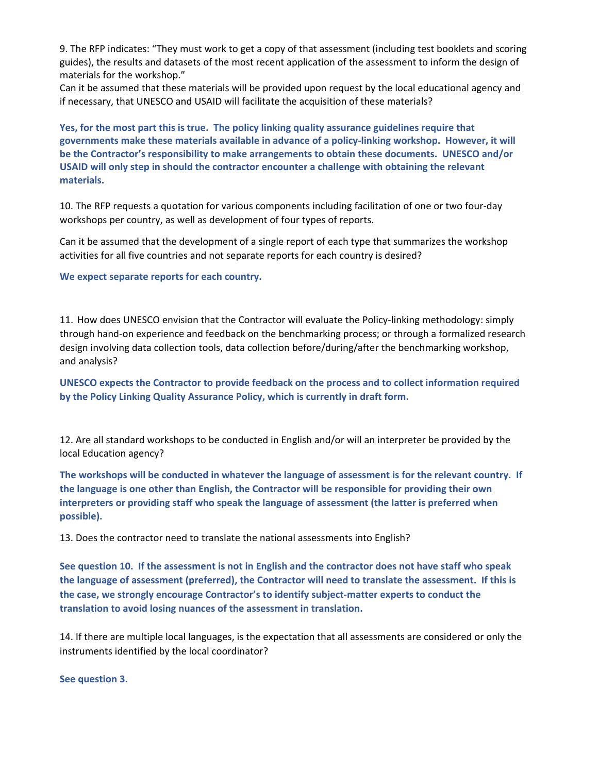9. The RFP indicates: "They must work to get a copy of that assessment (including test booklets and scoring guides), the results and datasets of the most recent application of the assessment to inform the design of materials for the workshop."

Can it be assumed that these materials will be provided upon request by the local educational agency and if necessary, that UNESCO and USAID will facilitate the acquisition of these materials?

**Yes, for the most part this is true. The policy linking quality assurance guidelines require that governments make these materials available in advance of a policy‐linking workshop. However, it will be the Contractor's responsibility to make arrangements to obtain these documents. UNESCO and/or USAID will only step in should the contractor encounter a challenge with obtaining the relevant materials.** 

10. The RFP requests a quotation for various components including facilitation of one or two four‐day workshops per country, as well as development of four types of reports.

Can it be assumed that the development of a single report of each type that summarizes the workshop activities for all five countries and not separate reports for each country is desired?

**We expect separate reports for each country.** 

11. How does UNESCO envision that the Contractor will evaluate the Policy-linking methodology: simply through hand‐on experience and feedback on the benchmarking process; or through a formalized research design involving data collection tools, data collection before/during/after the benchmarking workshop, and analysis?

**UNESCO expects the Contractor to provide feedback on the process and to collect information required by the Policy Linking Quality Assurance Policy, which is currently in draft form.** 

12. Are all standard workshops to be conducted in English and/or will an interpreter be provided by the local Education agency?

**The workshops will be conducted in whatever the language of assessment is for the relevant country. If the language is one other than English, the Contractor will be responsible for providing their own interpreters or providing staff who speak the language of assessment (the latter is preferred when possible).** 

13. Does the contractor need to translate the national assessments into English?

**See question 10. If the assessment is not in English and the contractor does not have staff who speak the language of assessment (preferred), the Contractor will need to translate the assessment. If this is the case, we strongly encourage Contractor's to identify subject‐matter experts to conduct the translation to avoid losing nuances of the assessment in translation.** 

14. If there are multiple local languages, is the expectation that all assessments are considered or only the instruments identified by the local coordinator?

**See question 3.**